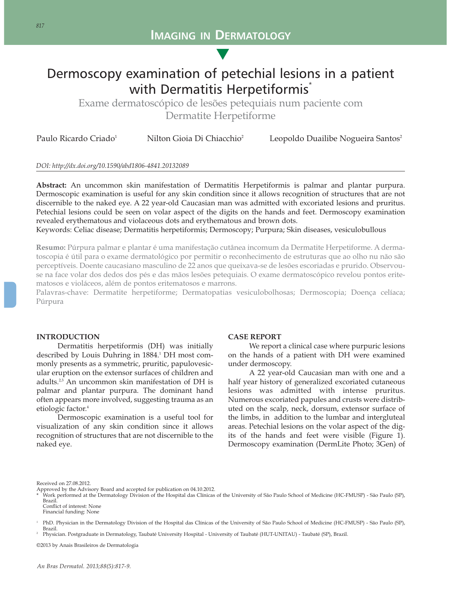s

# Dermoscopy examination of petechial lesions in a patient with Dermatitis Herpetiformis<sup>\*</sup>

Exame dermatoscópico de lesões petequiais num paciente com Dermatite Herpetiforme

| Nilton Gioia Di Chiacchio <sup>2</sup><br>Paulo Ricardo Criado <sup>1</sup> | Leopoldo Duailibe Nogueira Santos <sup>2</sup> |
|-----------------------------------------------------------------------------|------------------------------------------------|
|-----------------------------------------------------------------------------|------------------------------------------------|

## *DOI: http://dx.doi.org/10.1590/abd1806-4841.20132089*

**Abstract:** An uncommon skin manifestation of Dermatitis Herpetiformis is palmar and plantar purpura. Dermoscopic examination is useful for any skin condition since it allows recognition of structures that are not discernible to the naked eye. A 22 year-old Caucasian man was admitted with excoriated lesions and pruritus. Petechial lesions could be seen on volar aspect of the digits on the hands and feet. Dermoscopy examination revealed erythematous and violaceous dots and erythematous and brown dots.

Keywords: Celiac disease; Dermatitis herpetiformis; Dermoscopy; Purpura; Skin diseases, vesiculobullous

**Resumo:** Púrpura palmar e plantar é uma manifestação cutânea incomum da Dermatite Herpetiforme. A dermatoscopia é útil para o exame dermatológico por permitir o reconhecimento de estruturas que ao olho nu não são perceptíveis. Doente caucasiano masculino de 22 anos que queixava-se de lesões escoriadas e prurido. Observouse na face volar dos dedos dos pés e das mãos lesões petequiais. O exame dermatoscópico revelou pontos eritematosos e violáceos, além de pontos eritematosos e marrons.

Palavras-chave: Dermatite herpetiforme; Dermatopatias vesiculobolhosas; Dermoscopia; Doença celíaca; Púrpura

## **INTRODUCTION**

Dermatitis herpetiformis (DH) was initially described by Louis Duhring in 1884.<sup>1</sup> DH most commonly presents as a symmetric, pruritic, papulovesicular eruption on the extensor surfaces of children and adults. $23$  An uncommon skin manifestation of DH is palmar and plantar purpura. The dominant hand often appears more involved, suggesting trauma as an etiologic factor.<sup>4</sup>

Dermoscopic examination is a useful tool for visualization of any skin condition since it allows recognition of structures that are not discernible to the naked eye.

## **CASE REPORT**

We report a clinical case where purpuric lesions on the hands of a patient with DH were examined under dermoscopy.

A 22 year-old Caucasian man with one and a half year history of generalized excoriated cutaneous lesions was admitted with intense pruritus. Numerous excoriated papules and crusts were distributed on the scalp, neck, dorsum, extensor surface of the limbs, in addition to the lumbar and intergluteal areas. Petechial lesions on the volar aspect of the digits of the hands and feet were visible (Figure 1). Dermoscopy examination (DermLite Photo; 3Gen) of

Received on 27.08.2012.

Financial funding: None

<sup>1</sup> PhD. Physician in the Dermatology Division of the Hospital das Clínicas of the University of São Paulo School of Medicine (HC-FMUSP) - São Paulo (SP), Brazil.

<sup>2</sup> Physician. Postgraduate in Dermatology, Taubaté University Hospital - University of Taubaté (HUT-UNITAU) - Taubaté (SP), Brazil.

©2013 by Anais Brasileiros de Dermatologia

Approved by the Advisory Board and accepted for publication on 04.10.2012.

<sup>\*</sup> Work performed at the Dermatology Division of the Hospital das Clínicas of the University of São Paulo School of Medicine (HC-FMUSP) - São Paulo (SP), Brazil. Conflict of interest: None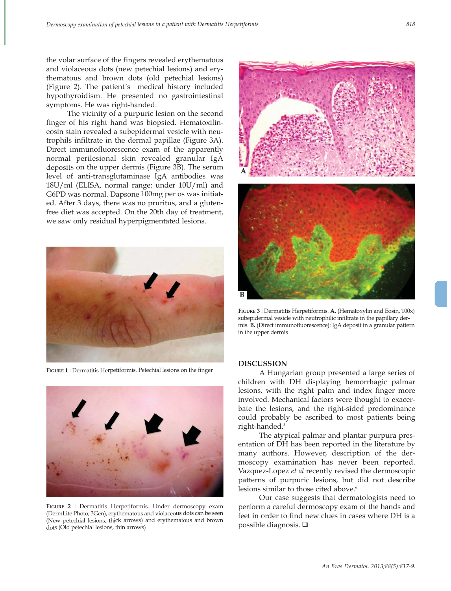the volar surface of the fingers revealed erythematous and violaceous dots (new petechial lesions) and erythematous and brown dots (old petechial lesions) (Figure 2). The patient´s medical history included hypothyroidism. He presented no gastrointestinal symptoms. He was right-handed.

The vicinity of a purpuric lesion on the second finger of his right hand was biopsied. Hematoxilineosin stain revealed a subepidermal vesicle with neutrophils infiltrate in the dermal papillae (Figure 3A). Direct immunofluorescence exam of the apparently normal perilesional skin revealed granular IgA deposits on the upper dermis (Figure 3B). The serum level of anti-transglutaminase IgA antibodies was 18U/ml (ELISA, normal range: under 10U/ml) and G6PD was normal. Dapsone 100mg per os was initiated. After 3 days, there was no pruritus, and a glutenfree diet was accepted. On the 20th day of treatment, we saw only residual hyperpigmentated lesions.



**<sup>F</sup>IGURE <sup>1</sup>**: Dermatitis Herpetiformis. Petechial lesions on the finger



**<sup>F</sup>IGURE <sup>2</sup>**: Dermatitis Herpetiformis. Under dermoscopy exam (DermLite Photo; 3Gen), erythematous and violaceous dots can be seen (New petechial lesions, thick arrows) and erythematous and brown dots (Old petechial lesions, thin arrows)



**<sup>F</sup>IGURE <sup>3</sup>**: Dermatitis Herpetiformis. **A.** (Hematoxylin and Eosin, 100x) subepidermal vesicle with neutrophilic infiltrate in the papillary dermis. **B.** (Direct immunofluorescence): IgA deposit in a granular pattern in the upper dermis

## **DISCUSSION**

A Hungarian group presented a large series of children with DH displaying hemorrhagic palmar lesions, with the right palm and index finger more involved. Mechanical factors were thought to exacerbate the lesions, and the right-sided predominance could probably be ascribed to most patients being right-handed.5

The atypical palmar and plantar purpura presentation of DH has been reported in the literature by many authors. However, description of the dermoscopy examination has never been reported. Vazquez-Lopez *et al* recently revised the dermoscopic patterns of purpuric lesions, but did not describe lesions similar to those cited above.<sup>6</sup>

Our case suggests that dermatologists need to perform a careful dermoscopy exam of the hands and feet in order to find new clues in cases where DH is a possible diagnosis.  $\Box$